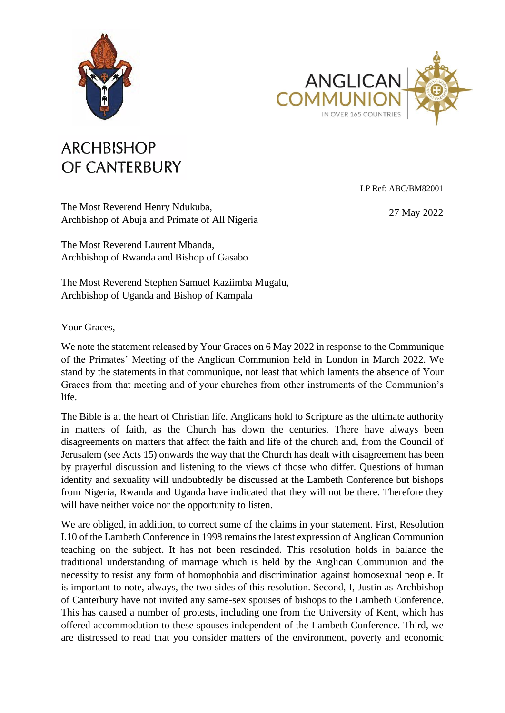



## **ARCHBISHOP** OF CANTERBURY

LP Ref: ABC/BM82001

The Most Reverend Henry Ndukuba, Archbishop of Abuja and Primate of All Nigeria

27 May 2022

The Most Reverend Laurent Mbanda, Archbishop of Rwanda and Bishop of Gasabo

The Most Reverend Stephen Samuel Kaziimba Mugalu, Archbishop of Uganda and Bishop of Kampala

Your Graces,

We note the statement released by Your Graces on 6 May 2022 in response to the Communique of the Primates' Meeting of the Anglican Communion held in London in March 2022. We stand by the statements in that communique, not least that which laments the absence of Your Graces from that meeting and of your churches from other instruments of the Communion's life.

The Bible is at the heart of Christian life. Anglicans hold to Scripture as the ultimate authority in matters of faith, as the Church has down the centuries. There have always been disagreements on matters that affect the faith and life of the church and, from the Council of Jerusalem (see Acts 15) onwards the way that the Church has dealt with disagreement has been by prayerful discussion and listening to the views of those who differ. Questions of human identity and sexuality will undoubtedly be discussed at the Lambeth Conference but bishops from Nigeria, Rwanda and Uganda have indicated that they will not be there. Therefore they will have neither voice nor the opportunity to listen.

We are obliged, in addition, to correct some of the claims in your statement. First, Resolution I.10 of the Lambeth Conference in 1998 remains the latest expression of Anglican Communion teaching on the subject. It has not been rescinded. This resolution holds in balance the traditional understanding of marriage which is held by the Anglican Communion and the necessity to resist any form of homophobia and discrimination against homosexual people. It is important to note, always, the two sides of this resolution. Second, I, Justin as Archbishop of Canterbury have not invited any same-sex spouses of bishops to the Lambeth Conference. This has caused a number of protests, including one from the University of Kent, which has offered accommodation to these spouses independent of the Lambeth Conference. Third, we are distressed to read that you consider matters of the environment, poverty and economic